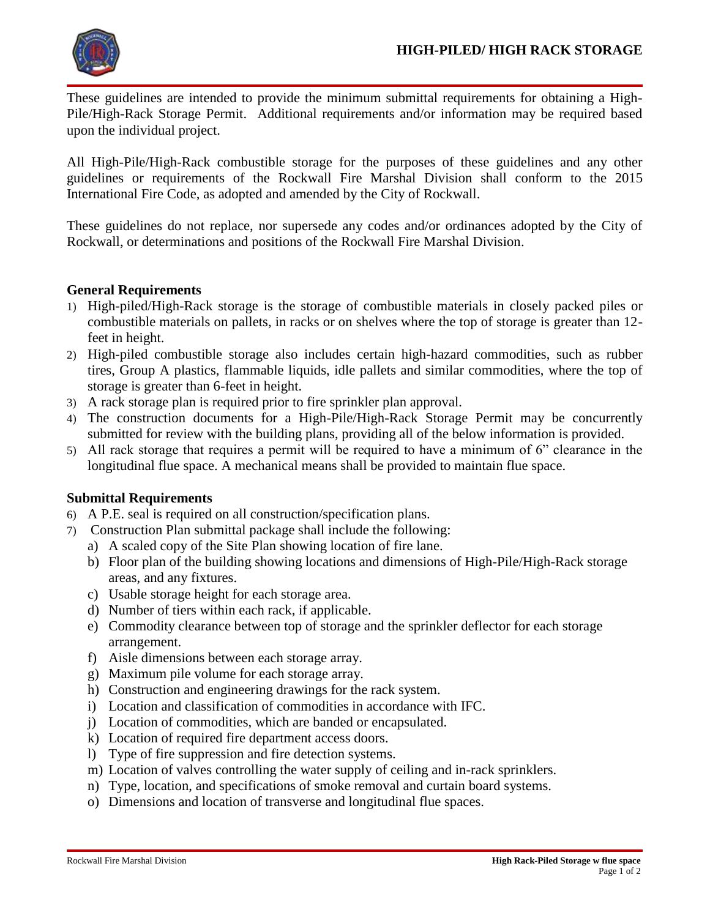

These guidelines are intended to provide the minimum submittal requirements for obtaining a High-Pile/High-Rack Storage Permit. Additional requirements and/or information may be required based upon the individual project.

All High-Pile/High-Rack combustible storage for the purposes of these guidelines and any other guidelines or requirements of the Rockwall Fire Marshal Division shall conform to the 2015 International Fire Code, as adopted and amended by the City of Rockwall.

These guidelines do not replace, nor supersede any codes and/or ordinances adopted by the City of Rockwall, or determinations and positions of the Rockwall Fire Marshal Division.

## **General Requirements**

- 1) High-piled/High-Rack storage is the storage of combustible materials in closely packed piles or combustible materials on pallets, in racks or on shelves where the top of storage is greater than 12 feet in height.
- 2) High-piled combustible storage also includes certain high-hazard commodities, such as rubber tires, Group A plastics, flammable liquids, idle pallets and similar commodities, where the top of storage is greater than 6-feet in height.
- 3) A rack storage plan is required prior to fire sprinkler plan approval.
- 4) The construction documents for a High-Pile/High-Rack Storage Permit may be concurrently submitted for review with the building plans, providing all of the below information is provided.
- 5) All rack storage that requires a permit will be required to have a minimum of 6" clearance in the longitudinal flue space. A mechanical means shall be provided to maintain flue space.

## **Submittal Requirements**

- 6) A P.E. seal is required on all construction/specification plans.
- 7) Construction Plan submittal package shall include the following:
	- a) A scaled copy of the Site Plan showing location of fire lane.
		- b) Floor plan of the building showing locations and dimensions of High-Pile/High-Rack storage areas, and any fixtures.
		- c) Usable storage height for each storage area.
		- d) Number of tiers within each rack, if applicable.
		- e) Commodity clearance between top of storage and the sprinkler deflector for each storage arrangement.
		- f) Aisle dimensions between each storage array.
		- g) Maximum pile volume for each storage array.
		- h) Construction and engineering drawings for the rack system.
		- i) Location and classification of commodities in accordance with IFC.
		- j) Location of commodities, which are banded or encapsulated.
		- k) Location of required fire department access doors.
		- l) Type of fire suppression and fire detection systems.
		- m) Location of valves controlling the water supply of ceiling and in-rack sprinklers.
		- n) Type, location, and specifications of smoke removal and curtain board systems.
		- o) Dimensions and location of transverse and longitudinal flue spaces.